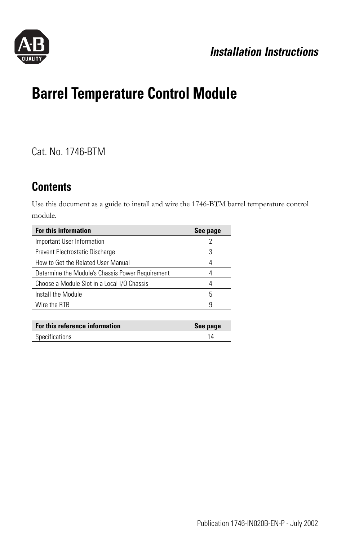

## *Installation Instructions*

# **Barrel Temperature Control Module**

Cat. No. 1746-BTM

## **Contents**

Use this document as a guide to install and wire the 1746-BTM barrel temperature control module.

| <b>For this information</b>                      | See page |
|--------------------------------------------------|----------|
| Important User Information                       |          |
| Prevent Electrostatic Discharge                  | 3        |
| How to Get the Related User Manual               |          |
| Determine the Module's Chassis Power Requirement |          |
| Choose a Module Slot in a Local I/O Chassis      |          |
| Install the Module                               | 5        |
| Wire the RTB                                     | 9        |

| For this reference information | See page |
|--------------------------------|----------|
| Specifications                 |          |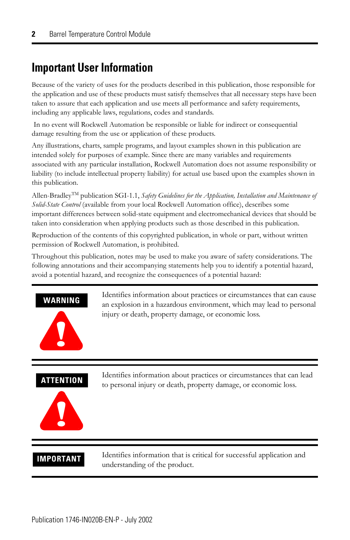## <span id="page-1-0"></span>**Important User Information**

Because of the variety of uses for the products described in this publication, those responsible for the application and use of these products must satisfy themselves that all necessary steps have been taken to assure that each application and use meets all performance and safety requirements, including any applicable laws, regulations, codes and standards.

 In no event will Rockwell Automation be responsible or liable for indirect or consequential damage resulting from the use or application of these products.

Any illustrations, charts, sample programs, and layout examples shown in this publication are intended solely for purposes of example. Since there are many variables and requirements associated with any particular installation, Rockwell Automation does not assume responsibility or liability (to include intellectual property liability) for actual use based upon the examples shown in this publication.

Allen-BradleyTM publication SGI-1.1, *Safety Guidelines for the Application, Installation and Maintenance of Solid-State Control* (available from your local Rockwell Automation office), describes some important differences between solid-state equipment and electromechanical devices that should be taken into consideration when applying products such as those described in this publication.

Reproduction of the contents of this copyrighted publication, in whole or part, without written permission of Rockwell Automation, is prohibited.

Throughout this publication, notes may be used to make you aware of safety considerations. The following annotations and their accompanying statements help you to identify a potential hazard, avoid a potential hazard, and recognize the consequences of a potential hazard:



Identifies information about practices or circumstances that can cause an explosion in a hazardous environment, which may lead to personal injury or death, property damage, or economic loss.

### **ATTENTION**



Identifies information about practices or circumstances that can lead to personal injury or death, property damage, or economic loss.

**IMPORTANT** Identifies information that is critical for successful application and understanding of the product.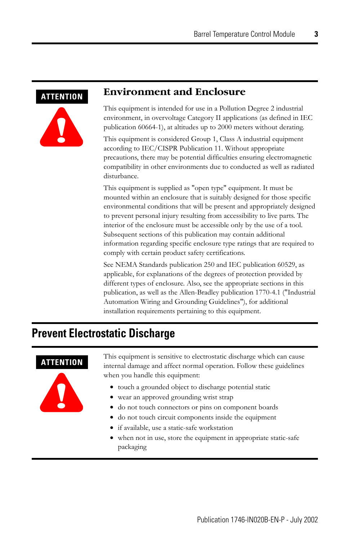#### <span id="page-2-0"></span>**ATTENTION**



#### **Environment and Enclosure**

This equipment is intended for use in a Pollution Degree 2 industrial environment, in overvoltage Category II applications (as defined in IEC publication 60664-1), at altitudes up to 2000 meters without derating.

This equipment is considered Group 1, Class A industrial equipment according to IEC/CISPR Publication 11. Without appropriate precautions, there may be potential difficulties ensuring electromagnetic compatibility in other environments due to conducted as well as radiated disturbance.

This equipment is supplied as "open type" equipment. It must be mounted within an enclosure that is suitably designed for those specific environmental conditions that will be present and appropriately designed to prevent personal injury resulting from accessibility to live parts. The interior of the enclosure must be accessible only by the use of a tool. Subsequent sections of this publication may contain additional information regarding specific enclosure type ratings that are required to comply with certain product safety certifications.

See NEMA Standards publication 250 and IEC publication 60529, as applicable, for explanations of the degrees of protection provided by different types of enclosure. Also, see the appropriate sections in this publication, as well as the Allen-Bradley publication 1770-4.1 ("Industrial Automation Wiring and Grounding Guidelines"), for additional installation requirements pertaining to this equipment.

## **Prevent Electrostatic Discharge**

### **ATTENTION**



This equipment is sensitive to electrostatic discharge which can cause internal damage and affect normal operation. Follow these guidelines when you handle this equipment:

- touch a grounded object to discharge potential static
- wear an approved grounding wrist strap
- do not touch connectors or pins on component boards
- do not touch circuit components inside the equipment
- if available, use a static-safe workstation
- when not in use, store the equipment in appropriate static-safe packaging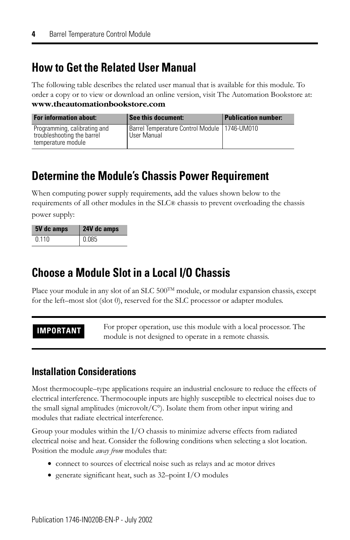## <span id="page-3-0"></span>**How to Get the Related User Manual**

The following table describes the related user manual that is available for this module. To order a copy or to view or download an online version, visit The Automation Bookstore at: **www.theautomationbookstore.com**

| <b>For information about:</b>                                                    | See this document:                                            | <b>Publication number:</b> |
|----------------------------------------------------------------------------------|---------------------------------------------------------------|----------------------------|
| Programming, calibrating and<br>troubleshooting the barrel<br>temperature module | Barrel Temperature Control Module   1746-UM010<br>User Manual |                            |

## <span id="page-3-1"></span>**Determine the Module's Chassis Power Requirement**

When computing power supply requirements, add the values shown below to the requirements of all other modules in the SLC® chassis to prevent overloading the chassis

power supply:

| 5V dc amps | 24V dc amps |
|------------|-------------|
| 0 1 1 0    | 0 085       |

## <span id="page-3-2"></span>**Choose a Module Slot in a Local I/O Chassis**

Place your module in any slot of an SLC  $500^{TM}$  module, or modular expansion chassis, except for the left–most slot (slot 0), reserved for the SLC processor or adapter modules.

**IMPORTANT** For proper operation, use this module with a local processor. The module is not designed to operate in a remote chassis.

### **Installation Considerations**

Most thermocouple–type applications require an industrial enclosure to reduce the effects of electrical interference. Thermocouple inputs are highly susceptible to electrical noises due to the small signal amplitudes (microvolt/ $C<sup>o</sup>$ ). Isolate them from other input wiring and modules that radiate electrical interference.

Group your modules within the I/O chassis to minimize adverse effects from radiated electrical noise and heat. Consider the following conditions when selecting a slot location. Position the module *away from* modules that:

- connect to sources of electrical noise such as relays and ac motor drives
- generate significant heat, such as 32–point I/O modules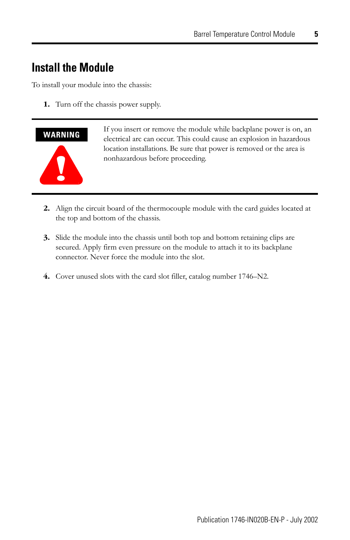## <span id="page-4-0"></span>**Install the Module**

To install your module into the chassis:

**1.** Turn off the chassis power supply.



If you insert or remove the module while backplane power is on, an electrical arc can occur. This could cause an explosion in hazardous location installations. Be sure that power is removed or the area is nonhazardous before proceeding.

- **2.** Align the circuit board of the thermocouple module with the card guides located at the top and bottom of the chassis.
- **3.** Slide the module into the chassis until both top and bottom retaining clips are secured. Apply firm even pressure on the module to attach it to its backplane connector. Never force the module into the slot.
- **4.** Cover unused slots with the card slot filler, catalog number 1746–N2.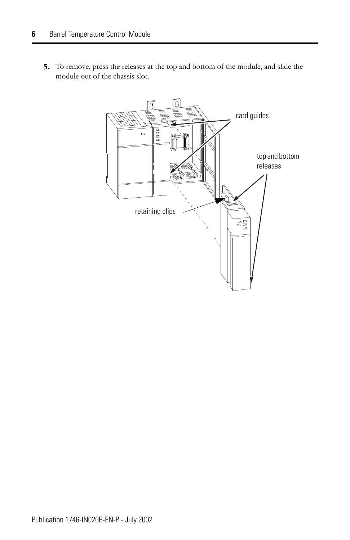**5.** To remove, press the releases at the top and bottom of the module, and slide the module out of the chassis slot.

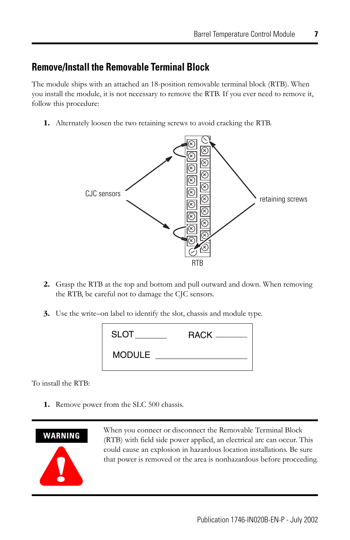### **Remove/Install the Removable Terminal Block**

The module ships with an attached an 18-position removable terminal block (RTB). When you install the module, it is not necessary to remove the RTB. If you ever need to remove it, follow this procedure:

**1.** Alternately loosen the two retaining screws to avoid cracking the RTB.



- **2.** Grasp the RTB at the top and bottom and pull outward and down. When removing the RTB, be careful not to damage the CJC sensors.
- **3.** Use the write–on label to identify the slot, chassis and module type.

| <b>SLOT</b> |  |
|-------------|--|
| MODULE      |  |

To install the RTB:

**1.** Remove power from the SLC 500 chassis.



When you connect or disconnect the Removable Terminal Block (RTB) with field side power applied, an electrical arc can occur. This could cause an explosion in hazardous location installations. Be sure that power is removed or the area is nonhazardous before proceeding.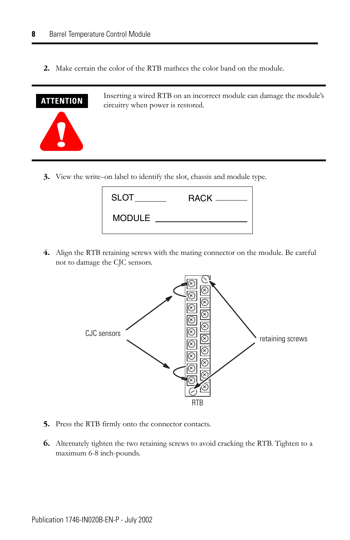**2.** Make certain the color of the RTB mathces the color band on the module.



Inserting a wired RTB on an incorrect module can damage the module's circuitry when power is restored.

**3.** View the write–on label to identify the slot, chassis and module type.

| <b>SLOT</b>   | $RACK$ $\_\_$ |
|---------------|---------------|
| <b>MODULE</b> |               |

**4.** Align the RTB retaining screws with the mating connector on the module. Be careful not to damage the CJC sensors.



- **5.** Press the RTB firmly onto the connector contacts.
- **6.** Alternately tighten the two retaining screws to avoid cracking the RTB. Tighten to a maximum 6-8 inch-pounds.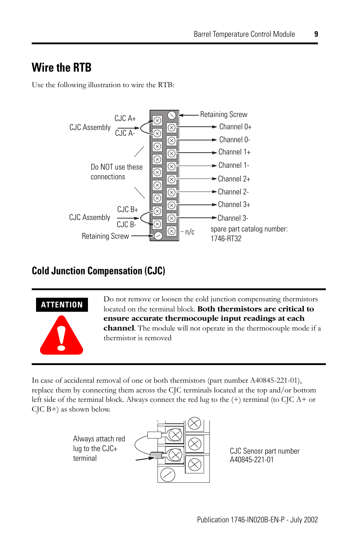## <span id="page-8-0"></span>**Wire the RTB**

Use the following illustration to wire the RTB:



## **Cold Junction Compensation (CJC)**



Do not remove or loosen the cold junction compensating thermistors located on the terminal block. **Both thermistors are critical to ensure accurate thermocouple input readings at each channel**. The module will not operate in the thermocouple mode if a thermistor is removed

In case of accidental removal of one or both thermistors (part number A40845-221-01), replace them by connecting them across the CJC terminals located at the top and/or bottom left side of the terminal block. Always connect the red lug to the (+) terminal (to CJC A+ or CJC B+) as shown below.





A40845-221-01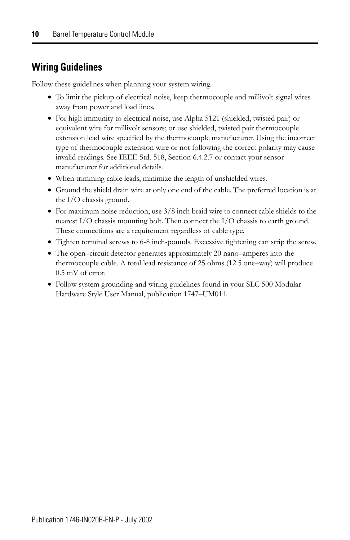## **Wiring Guidelines**

Follow these guidelines when planning your system wiring.

- To limit the pickup of electrical noise, keep thermocouple and millivolt signal wires away from power and load lines.
- For high immunity to electrical noise, use Alpha 5121 (shielded, twisted pair) or equivalent wire for millivolt sensors; or use shielded, twisted pair thermocouple extension lead wire specified by the thermocouple manufacturer. Using the incorrect type of thermocouple extension wire or not following the correct polarity may cause invalid readings. See IEEE Std. 518, Section 6.4.2.7 or contact your sensor manufacturer for additional details.
- When trimming cable leads, minimize the length of unshielded wires.
- Ground the shield drain wire at only one end of the cable. The preferred location is at the I/O chassis ground.
- For maximum noise reduction, use 3/8 inch braid wire to connect cable shields to the nearest I/O chassis mounting bolt. Then connect the I/O chassis to earth ground. These connections are a requirement regardless of cable type.
- Tighten terminal screws to 6-8 inch-pounds. Excessive tightening can strip the screw.
- The open–circuit detector generates approximately 20 nano–amperes into the thermocouple cable. A total lead resistance of 25 ohms (12.5 one–way) will produce 0.5 mV of error.
- Follow system grounding and wiring guidelines found in your SLC 500 Modular Hardware Style User Manual, publication 1747–UM011.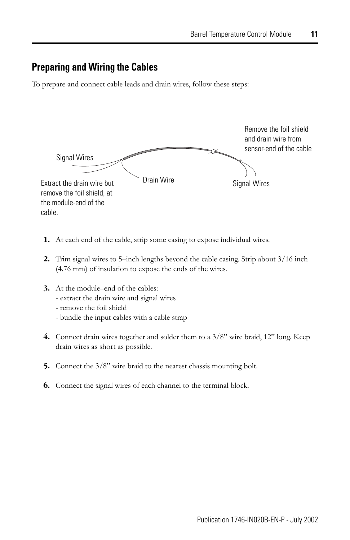#### **Preparing and Wiring the Cables**

To prepare and connect cable leads and drain wires, follow these steps:



- **1.** At each end of the cable, strip some casing to expose individual wires.
- **2.** Trim signal wires to 5–inch lengths beyond the cable casing. Strip about 3/16 inch (4.76 mm) of insulation to expose the ends of the wires.
- **3.** At the module–end of the cables:
	- extract the drain wire and signal wires
	- remove the foil shield
	- bundle the input cables with a cable strap
- **4.** Connect drain wires together and solder them to a 3/8" wire braid, 12" long. Keep drain wires as short as possible.
- **5.** Connect the 3/8" wire braid to the nearest chassis mounting bolt.
- **6.** Connect the signal wires of each channel to the terminal block.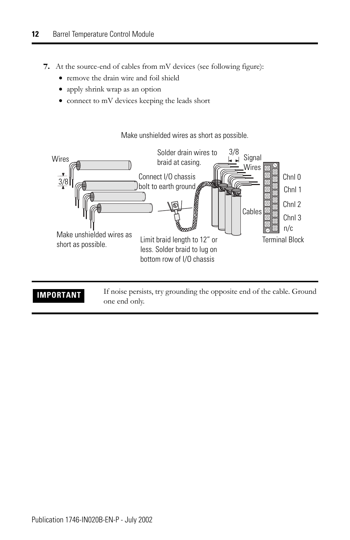- **7.** At the source-end of cables from mV devices (see following figure):
	- remove the drain wire and foil shield
	- apply shrink wrap as an option
	- connect to mV devices keeping the leads short

Make unshielded wires as short as possible.



**IMPORTANT** If noise persists, try grounding the opposite end of the cable. Ground one end only.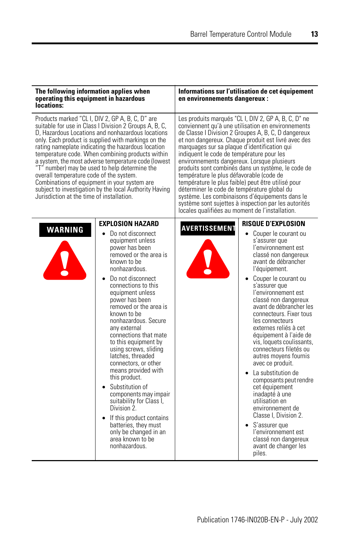| The following information applies when<br>operating this equipment in hazardous<br>locations:                                                                                                                                                                                                                                                                                                                                                                                                                                                                                                                                              |                                                                                                                                                                                                                                                                                                                                                                                                                                                                                                                                                                                                                                                                                           | en environnements dangereux :                                                                                                                                                                                                                                                          | Informations sur l'utilisation de cet équipement                                                                                                                                                                                                                                                                                                                                                                                                                                                                                                                                                                                                                                                                                                     |
|--------------------------------------------------------------------------------------------------------------------------------------------------------------------------------------------------------------------------------------------------------------------------------------------------------------------------------------------------------------------------------------------------------------------------------------------------------------------------------------------------------------------------------------------------------------------------------------------------------------------------------------------|-------------------------------------------------------------------------------------------------------------------------------------------------------------------------------------------------------------------------------------------------------------------------------------------------------------------------------------------------------------------------------------------------------------------------------------------------------------------------------------------------------------------------------------------------------------------------------------------------------------------------------------------------------------------------------------------|----------------------------------------------------------------------------------------------------------------------------------------------------------------------------------------------------------------------------------------------------------------------------------------|------------------------------------------------------------------------------------------------------------------------------------------------------------------------------------------------------------------------------------------------------------------------------------------------------------------------------------------------------------------------------------------------------------------------------------------------------------------------------------------------------------------------------------------------------------------------------------------------------------------------------------------------------------------------------------------------------------------------------------------------------|
| Products marked "CL I, DIV 2, GP A, B, C, D" are<br>suitable for use in Class I Division 2 Groups A, B, C,<br>D. Hazardous Locations and nonhazardous locations<br>only. Each product is supplied with markings on the<br>rating nameplate indicating the hazardous location<br>temperature code. When combining products within<br>a system, the most adverse temperature code (lowest<br>"T" number) may be used to help determine the<br>overall temperature code of the system.<br>Combinations of equipment in your system are<br>subject to investigation by the local Authority Having<br>Jurisdiction at the time of installation. |                                                                                                                                                                                                                                                                                                                                                                                                                                                                                                                                                                                                                                                                                           | marquages sur sa plaque d'identification qui<br>indiquent le code de température pour les<br>environnements dangereux. Lorsque plusieurs<br>température le plus défavorable (code de<br>déterminer le code de température global du<br>locales qualifiées au moment de l'installation. | Les produits marqués "CL I, DIV 2, GP A, B, C, D" ne<br>conviennent qu'à une utilisation en environnements<br>de Classe I Division 2 Groupes A, B, C, D dangereux<br>et non dangereux. Chaque produit est livré avec des<br>produits sont combinés dans un système, le code de<br>température le plus faible) peut être utilisé pour<br>système. Les combinaisons d'équipements dans le<br>système sont sujettes à inspection par les autorités                                                                                                                                                                                                                                                                                                      |
| <b>WARNING</b><br>$\bullet$                                                                                                                                                                                                                                                                                                                                                                                                                                                                                                                                                                                                                | <b>EXPLOSION HAZARD</b><br>Do not disconnect<br>equipment unless<br>power has been<br>removed or the area is<br>known to be<br>nonhazardous.<br>Do not disconnect<br>connections to this<br>equipment unless<br>power has been<br>removed or the area is<br>known to be<br>nonhazardous. Secure<br>any external<br>connections that mate<br>to this equipment by<br>using screws, sliding<br>latches, threaded<br>connectors, or other<br>means provided with<br>this product.<br>Substitution of<br>components may impair<br>suitability for Class I,<br>Division 2.<br>• If this product contains<br>batteries, they must<br>only be changed in an<br>area known to be<br>nonhazardous. | <b>AVERTISSEMENT</b>                                                                                                                                                                                                                                                                   | <b>RISQUE D'EXPLOSION</b><br>• Couper le courant ou<br>s'assurer que<br>l'environnement est<br>classé non dangereux<br>avant de débrancher<br>l'équipement.<br>• Couper le courant ou<br>s'assurer que<br>l'environnement est<br>classé non dangereux<br>avant de débrancher les<br>connecteurs. Fixer tous<br>les connecteurs<br>externes reliés à cet<br>équipement à l'aide de<br>vis, loquets coulissants,<br>connecteurs filetés ou<br>autres moyens fournis<br>avec ce produit.<br>La substitution de<br>composants peut rendre<br>cet équipement<br>inadapté à une<br>utilisation en<br>environnement de<br>Classe I. Division 2.<br>$\bullet$ S'assurer que<br>l'environnement est<br>classé non dangereux<br>avant de changer les<br>piles. |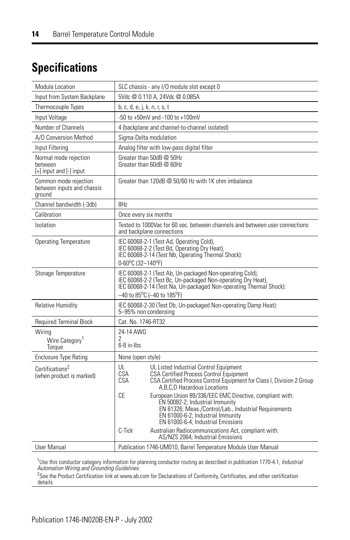## <span id="page-13-0"></span>**Specifications**

| <b>Module Location</b>                                              | SLC chassis - any I/O module slot except 0                                                                                                                                                                                                               |
|---------------------------------------------------------------------|----------------------------------------------------------------------------------------------------------------------------------------------------------------------------------------------------------------------------------------------------------|
| Input from System Backplane                                         | 5Vdc @ 0.110 A, 24Vdc @ 0.085A                                                                                                                                                                                                                           |
| Thermocouple Types                                                  | b, c, d, e, j, k, n, r, s, t                                                                                                                                                                                                                             |
| Input Voltage                                                       | -50 to +50mV and -100 to +100mV                                                                                                                                                                                                                          |
| Number of Channels                                                  | 4 (backplane and channel-to-channel isolated)                                                                                                                                                                                                            |
| A/D Conversion Method                                               | Sigma-Delta modulation                                                                                                                                                                                                                                   |
| Input Filtering                                                     | Analog filter with low-pass digital filter                                                                                                                                                                                                               |
| Normal mode rejection<br>between<br>$[+]$ input and $[$ - $]$ input | Greater than 50dB @ 50Hz<br>Greater than 60dB @ 60Hz                                                                                                                                                                                                     |
| Common mode rejection<br>between inputs and chassis<br>ground       | Greater than 120dB @ 50/60 Hz with 1K ohm imbalance                                                                                                                                                                                                      |
| Channel bandwidth (-3db)                                            | 8Hz                                                                                                                                                                                                                                                      |
| Calibration                                                         | Once every six months                                                                                                                                                                                                                                    |
| Isolation                                                           | Tested to 1000Vac for 60 sec. between channels and between user connections<br>and backplane connections                                                                                                                                                 |
| <b>Operating Temperature</b>                                        | IEC 60068-2-1 (Test Ad, Operating Cold),<br>IEC 60068-2-2 (Test Bd, Operating Dry Heat),<br>IEC 60068-2-14 (Test Nb, Operating Thermal Shock):<br>0-60°C (32-140°F)                                                                                      |
| Storage Temperature                                                 | IEC 60068-2-1 (Test Ab, Un-packaged Non-operating Cold),<br>IEC 60068-2-2 (Test Bc, Un-packaged Non-operating Dry Heat),<br>IEC 60068-2-14 (Test Na, Un-packaged Non-operating Thermal Shock):<br>$-40$ to 85 <sup>o</sup> C (-40 to 185 <sup>o</sup> F) |
| <b>Relative Humidity</b>                                            | IEC 60068-2-30 (Test Db, Un-packaged Non-operating Damp Heat):<br>5-95% non condensing                                                                                                                                                                   |
| <b>Required Terminal Block</b>                                      | Cat. No. 1746-RT32                                                                                                                                                                                                                                       |
| Wiring                                                              | 24-14 AWG                                                                                                                                                                                                                                                |
| Wire Category <sup>1</sup><br>Torque                                | 2<br>$6-8$ in-lbs.                                                                                                                                                                                                                                       |
| <b>Enclosure Type Rating</b>                                        | None (open style)                                                                                                                                                                                                                                        |
| Certifications <sup>2</sup><br>(when product is marked)             | UL<br>UL Listed Industrial Control Equipment<br>CSA<br><b>CSA Certified Process Control Equipment</b><br>CSA Certified Process Control Equipment for Class I, Division 2 Group<br>CSA<br>A, B, C, D Hazardous Locations                                  |
|                                                                     | CE<br>European Union 89/336/EEC EMC Directive, compliant with:<br>EN 50082-2; Industrial Immunity<br>EN 61326; Meas./Control/Lab., Industrial Requirements<br>EN 61000-6-2; Industrial Immunity<br>EN 61000-6-4; Industrial Emissions                    |
|                                                                     | C-Tick<br>Australian Radiocommunications Act, compliant with:<br>AS/NZS 2064; Industrial Emissions                                                                                                                                                       |
| User Manual                                                         | Publication 1746-UM010, Barrel Temperature Module User Manual                                                                                                                                                                                            |

<sup>1</sup>Use this conductor category information for planning conductor routing as described in publication 1770-4.1, *Industrial*<br>*Automation Wiring and Grounding Guidelines.*<br><sup>2</sup>See the Product Certification link at www.ab.com

details.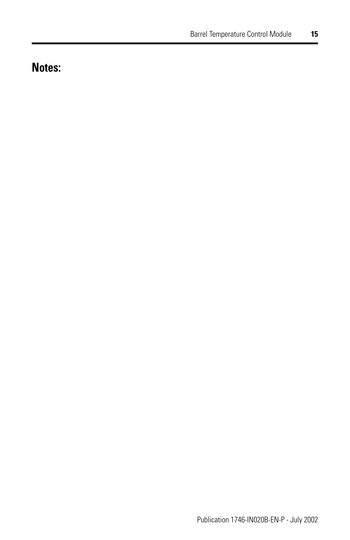## **Notes:**